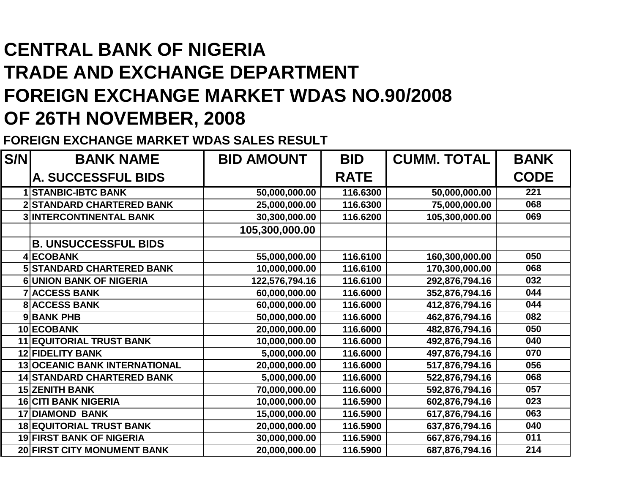## **CENTRAL BANK OF NIGERIA TRADE AND EXCHANGE DEPARTMENT FOREIGN EXCHANGE MARKET WDAS NO.90/2008OF 26TH NOVEMBER, 2008**

**FOREIGN EXCHANGE MARKET WDAS SALES RESULT**

| S/N | <b>BANK NAME</b>                  | <b>BID AMOUNT</b> | <b>BID</b>  | <b>CUMM. TOTAL</b> | <b>BANK</b> |
|-----|-----------------------------------|-------------------|-------------|--------------------|-------------|
|     | <b>A. SUCCESSFUL BIDS</b>         |                   | <b>RATE</b> |                    | <b>CODE</b> |
|     | <b>1 STANBIC-IBTC BANK</b>        | 50,000,000.00     | 116.6300    | 50,000,000.00      | 221         |
|     | <b>2 STANDARD CHARTERED BANK</b>  | 25,000,000.00     | 116.6300    | 75,000,000.00      | 068         |
|     | <b>3 INTERCONTINENTAL BANK</b>    | 30,300,000.00     | 116.6200    | 105,300,000.00     | 069         |
|     |                                   | 105,300,000.00    |             |                    |             |
|     | <b>B. UNSUCCESSFUL BIDS</b>       |                   |             |                    |             |
|     | 4 ECOBANK                         | 55,000,000.00     | 116.6100    | 160,300,000.00     | 050         |
|     | <b>5 STANDARD CHARTERED BANK</b>  | 10,000,000.00     | 116.6100    | 170,300,000.00     | 068         |
|     | <b>6UNION BANK OF NIGERIA</b>     | 122,576,794.16    | 116.6100    | 292,876,794.16     | 032         |
|     | <b>7 ACCESS BANK</b>              | 60,000,000.00     | 116.6000    | 352,876,794.16     | 044         |
|     | <b>8 ACCESS BANK</b>              | 60,000,000.00     | 116.6000    | 412,876,794.16     | 044         |
|     | 9BANK PHB                         | 50,000,000.00     | 116.6000    | 462,876,794.16     | 082         |
|     | 10 ECOBANK                        | 20,000,000.00     | 116.6000    | 482,876,794.16     | 050         |
|     | <b>11 EQUITORIAL TRUST BANK</b>   | 10,000,000.00     | 116.6000    | 492,876,794.16     | 040         |
|     | <b>12 FIDELITY BANK</b>           | 5,000,000.00      | 116.6000    | 497,876,794.16     | 070         |
|     | 13 OCEANIC BANK INTERNATIONAL     | 20,000,000.00     | 116.6000    | 517,876,794.16     | 056         |
|     | <b>14 STANDARD CHARTERED BANK</b> | 5,000,000.00      | 116.6000    | 522,876,794.16     | 068         |
|     | <b>15 ZENITH BANK</b>             | 70,000,000.00     | 116.6000    | 592,876,794.16     | 057         |
|     | <b>16 CITI BANK NIGERIA</b>       | 10,000,000.00     | 116.5900    | 602,876,794.16     | 023         |
|     | <b>17 DIAMOND BANK</b>            | 15,000,000.00     | 116.5900    | 617,876,794.16     | 063         |
|     | <b>18 EQUITORIAL TRUST BANK</b>   | 20,000,000.00     | 116.5900    | 637,876,794.16     | 040         |
|     | <b>19 FIRST BANK OF NIGERIA</b>   | 30,000,000.00     | 116.5900    | 667,876,794.16     | 011         |
|     | 20 FIRST CITY MONUMENT BANK       | 20,000,000.00     | 116.5900    | 687,876,794.16     | 214         |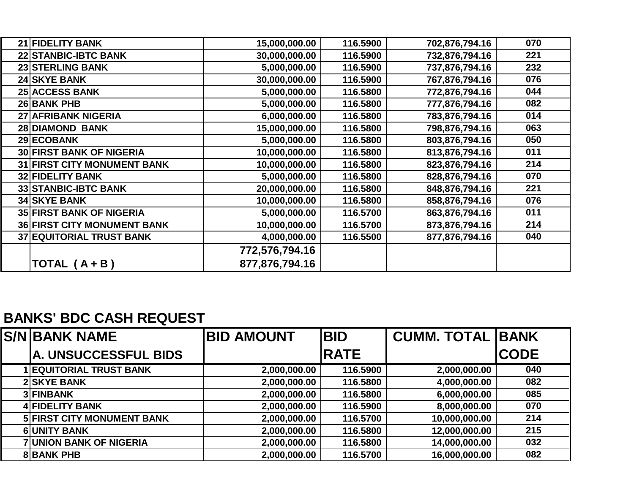| 21 FIDELITY BANK                   | 15,000,000.00  | 116.5900 | 702,876,794.16 | 070 |
|------------------------------------|----------------|----------|----------------|-----|
| <b>22 STANBIC-IBTC BANK</b>        | 30,000,000.00  | 116.5900 | 732,876,794.16 | 221 |
| 23 STERLING BANK                   | 5,000,000.00   | 116.5900 | 737,876,794.16 | 232 |
| <b>24 SKYE BANK</b>                | 30,000,000.00  | 116.5900 | 767,876,794.16 | 076 |
| <b>25 ACCESS BANK</b>              | 5,000,000.00   | 116.5800 | 772,876,794.16 | 044 |
| <b>26 BANK PHB</b>                 | 5,000,000.00   | 116.5800 | 777,876,794.16 | 082 |
| <b>27 AFRIBANK NIGERIA</b>         | 6,000,000.00   | 116.5800 | 783,876,794.16 | 014 |
| 28 DIAMOND BANK                    | 15,000,000.00  | 116.5800 | 798,876,794.16 | 063 |
| 29 ECOBANK                         | 5,000,000.00   | 116.5800 | 803,876,794.16 | 050 |
| <b>30 FIRST BANK OF NIGERIA</b>    | 10,000,000.00  | 116.5800 | 813,876,794.16 | 011 |
| <b>31 FIRST CITY MONUMENT BANK</b> | 10,000,000.00  | 116.5800 | 823,876,794.16 | 214 |
| <b>32 FIDELITY BANK</b>            | 5,000,000.00   | 116.5800 | 828,876,794.16 | 070 |
| <b>33 STANBIC-IBTC BANK</b>        | 20,000,000.00  | 116.5800 | 848,876,794.16 | 221 |
| <b>34 SKYE BANK</b>                | 10,000,000.00  | 116.5800 | 858,876,794.16 | 076 |
| <b>35 FIRST BANK OF NIGERIA</b>    | 5,000,000.00   | 116.5700 | 863,876,794.16 | 011 |
| <b>36 FIRST CITY MONUMENT BANK</b> | 10,000,000.00  | 116.5700 | 873,876,794.16 | 214 |
| <b>37 EQUITORIAL TRUST BANK</b>    | 4,000,000.00   | 116.5500 | 877,876,794.16 | 040 |
|                                    | 772,576,794.16 |          |                |     |
| TOTAL $(A + B)$                    | 877,876,794.16 |          |                |     |

## **BANKS' BDC CASH REQUEST**

| <b>S/N BANK NAME</b>              | <b>BID AMOUNT</b> | <b>BID</b>  | <b>CUMM. TOTAL BAANK</b> |             |
|-----------------------------------|-------------------|-------------|--------------------------|-------------|
| A. UNSUCCESSFUL BIDS              |                   | <b>RATE</b> |                          | <b>CODE</b> |
| <b>1 EQUITORIAL TRUST BANK</b>    | 2,000,000.00      | 116.5900    | 2,000,000.00             | 040         |
| <b>2 SKYE BANK</b>                | 2,000,000.00      | 116.5800    | 4,000,000.00             | 082         |
| <b>3 FINBANK</b>                  | 2,000,000.00      | 116.5800    | 6,000,000.00             | 085         |
| <b>4 FIDELITY BANK</b>            | 2,000,000.00      | 116.5900    | 8,000,000.00             | 070         |
| <b>5 FIRST CITY MONUMENT BANK</b> | 2,000,000.00      | 116.5700    | 10,000,000.00            | 214         |
| <b>6UNITY BANK</b>                | 2,000,000.00      | 116.5800    | 12,000,000.00            | 215         |
| <b>7 UNION BANK OF NIGERIA</b>    | 2,000,000.00      | 116.5800    | 14,000,000.00            | 032         |
| <b>8BANK PHB</b>                  | 2,000,000.00      | 116.5700    | 16,000,000.00            | 082         |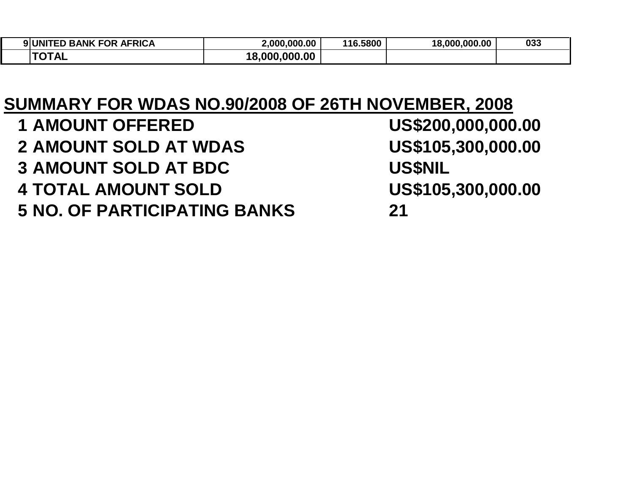| <b>BANK FOR AFRICA</b><br><b>9</b> UNIT<br>I E.D | 2.000.000.00       | 116.5800 | 18,000,000,00 | 033 |
|--------------------------------------------------|--------------------|----------|---------------|-----|
| ਜ∧÷ <u>A</u> i<br>' ' AL<br>ີ                    | .000.00<br>18,000. |          |               |     |

## **SUMMARY FOR WDAS NO.90/2008 OF 26TH NOVEMBER, 2008**

| <b>1 AMOUNT OFFERED</b>             | US\$200,000,000.00 |
|-------------------------------------|--------------------|
| <b>2 AMOUNT SOLD AT WDAS</b>        | US\$105,300,000.00 |
| <b>3 AMOUNT SOLD AT BDC</b>         | <b>US\$NIL</b>     |
| <b>4 TOTAL AMOUNT SOLD</b>          | US\$105,300,000.00 |
| <b>5 NO. OF PARTICIPATING BANKS</b> | 21                 |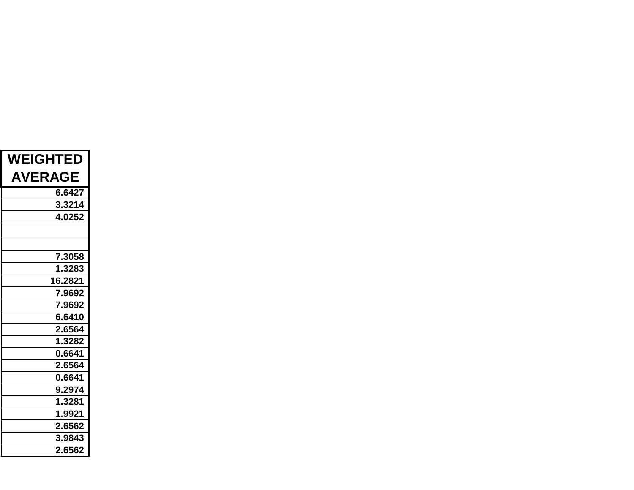| <b>WEIGHTED</b> |
|-----------------|
| <b>AVERAGE</b>  |
| 6.6427          |
| 3.3214          |
| 4.0252          |
|                 |
|                 |
| 7.3058          |
| 1.3283          |
| 16.2821         |
| 7.9692          |
| 7.9692          |
| 6.6410          |
| 2.6564          |
| 1.3282          |
| 0.6641          |
| 2.6564          |
| 0.6641          |
| 9.2974          |
| 1.3281          |
| 1.9921          |
| 2.6562          |
| 3.9843          |
| 2.6562          |